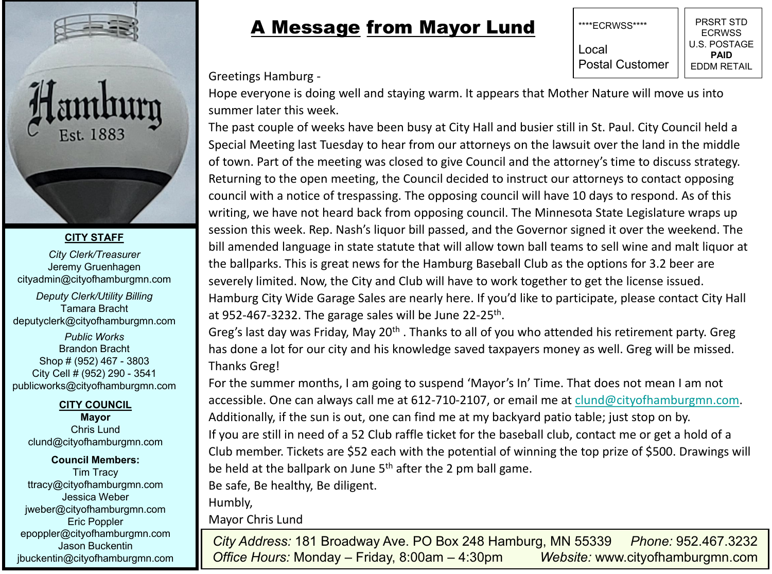



#### **CITY STAFF**

*City Clerk/Treasurer* Jeremy Gruenhagen cityadmin@cityofhamburgmn.com

*Deputy Clerk/Utility Billing* Tamara Bracht deputyclerk@cityofhamburgmn.com

*Public Works* Brandon Bracht Shop # (952) 467 - 3803 City Cell # (952) 290 - 3541 publicworks@cityofhamburgmn.com

**CITY COUNCIL**

**Mayor**  Chris Lund clund@cityofhamburgmn.com

**Council Members:** Tim Tracy ttracy@cityofhamburgmn.com Jessica Weber jweber@cityofhamburgmn.com Eric Poppler epoppler@cityofhamburgmn.com Jason Buckentin jbuckentin@cityofhamburgmn.com

## A Message from Mayor Lund



Greetings Hamburg -

Hope everyone is doing well and staying warm. It appears that Mother Nature will move us into summer later this week.

The past couple of weeks have been busy at City Hall and busier still in St. Paul. City Council held a Special Meeting last Tuesday to hear from our attorneys on the lawsuit over the land in the middle of town. Part of the meeting was closed to give Council and the attorney's time to discuss strategy. Returning to the open meeting, the Council decided to instruct our attorneys to contact opposing council with a notice of trespassing. The opposing council will have 10 days to respond. As of this writing, we have not heard back from opposing council. The Minnesota State Legislature wraps up session this week. Rep. Nash's liquor bill passed, and the Governor signed it over the weekend. The bill amended language in state statute that will allow town ball teams to sell wine and malt liquor at the ballparks. This is great news for the Hamburg Baseball Club as the options for 3.2 beer are severely limited. Now, the City and Club will have to work together to get the license issued.

Hamburg City Wide Garage Sales are nearly here. If you'd like to participate, please contact City Hall at 952-467-3232. The garage sales will be June 22-25<sup>th</sup>.

Greg's last day was Friday, May 20<sup>th</sup>. Thanks to all of you who attended his retirement party. Greg has done a lot for our city and his knowledge saved taxpayers money as well. Greg will be missed. Thanks Greg!

For the summer months, I am going to suspend 'Mayor's In' Time. That does not mean I am not accessible. One can always call me at 612-710-2107, or email me at clund@cityofhamburgmn.com. Additionally, if the sun is out, one can find me at my backyard patio table; just stop on by. If you are still in need of a 52 Club raffle ticket for the baseball club, contact me or get a hold of a Club member. Tickets are \$52 each with the potential of winning the top prize of \$500. Drawings will be held at the ballpark on June 5<sup>th</sup> after the 2 pm ball game.

Be safe, Be healthy, Be diligent.

Humbly,

Mayor Chris Lund

*City Address:* 181 Broadway Ave. PO Box 248 Hamburg, MN 55339 *Phone:* 952.467.3232 *Office Hours:* Monday – Friday, 8:00am – 4:30pm *Website:* www.cityofhamburgmn.com